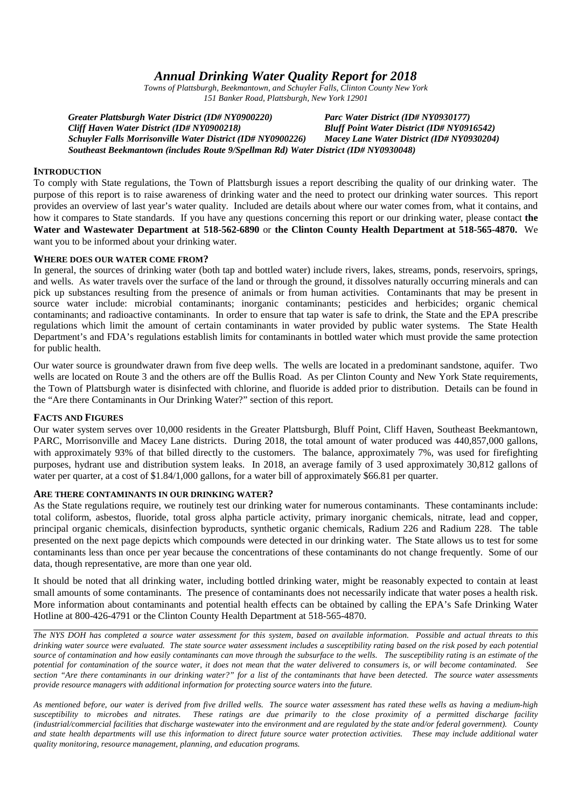# *Annual Drinking Water Quality Report for 2018*

*Towns of Plattsburgh, Beekmantown, and Schuyler Falls, Clinton County New York 151 Banker Road, Plattsburgh, New York 12901*

*Greater Plattsburgh Water District (ID# NY0900220) Parc Water District (ID# NY0930177) Cliff Haven Water District (ID# NY0900218) Bluff Point Water District (ID# NY0916542) Schuyler Falls Morrisonville Water District (ID# NY0900226) Macey Lane Water District (ID# NY0930204) Southeast Beekmantown (includes Route 9/Spellman Rd) Water District (ID# NY0930048)*

# **INTRODUCTION**

To comply with State regulations, the Town of Plattsburgh issues a report describing the quality of our drinking water. The purpose of this report is to raise awareness of drinking water and the need to protect our drinking water sources. This report provides an overview of last year's water quality. Included are details about where our water comes from, what it contains, and how it compares to State standards. If you have any questions concerning this report or our drinking water, please contact **the Water and Wastewater Department at 518-562-6890** or **the Clinton County Health Department at 518-565-4870.** We want you to be informed about your drinking water.

# **WHERE DOES OUR WATER COME FROM?**

In general, the sources of drinking water (both tap and bottled water) include rivers, lakes, streams, ponds, reservoirs, springs, and wells. As water travels over the surface of the land or through the ground, it dissolves naturally occurring minerals and can pick up substances resulting from the presence of animals or from human activities. Contaminants that may be present in source water include: microbial contaminants; inorganic contaminants; pesticides and herbicides; organic chemical contaminants; and radioactive contaminants. In order to ensure that tap water is safe to drink, the State and the EPA prescribe regulations which limit the amount of certain contaminants in water provided by public water systems. The State Health Department's and FDA's regulations establish limits for contaminants in bottled water which must provide the same protection for public health.

Our water source is groundwater drawn from five deep wells. The wells are located in a predominant sandstone, aquifer. Two wells are located on Route 3 and the others are off the Bullis Road. As per Clinton County and New York State requirements, the Town of Plattsburgh water is disinfected with chlorine, and fluoride is added prior to distribution. Details can be found in the "Are there Contaminants in Our Drinking Water?" section of this report.

# **FACTS AND FIGURES**

Our water system serves over 10,000 residents in the Greater Plattsburgh, Bluff Point, Cliff Haven, Southeast Beekmantown, PARC, Morrisonville and Macey Lane districts. During 2018, the total amount of water produced was 440,857,000 gallons, with approximately 93% of that billed directly to the customers. The balance, approximately 7%, was used for firefighting purposes, hydrant use and distribution system leaks. In 2018, an average family of 3 used approximately 30,812 gallons of water per quarter, at a cost of \$1.84/1,000 gallons, for a water bill of approximately \$66.81 per quarter.

### **ARE THERE CONTAMINANTS IN OUR DRINKING WATER?**

As the State regulations require, we routinely test our drinking water for numerous contaminants. These contaminants include: total coliform, asbestos, fluoride, total gross alpha particle activity, primary inorganic chemicals, nitrate, lead and copper, principal organic chemicals, disinfection byproducts, synthetic organic chemicals, Radium 226 and Radium 228. The table presented on the next page depicts which compounds were detected in our drinking water. The State allows us to test for some contaminants less than once per year because the concentrations of these contaminants do not change frequently. Some of our data, though representative, are more than one year old.

It should be noted that all drinking water, including bottled drinking water, might be reasonably expected to contain at least small amounts of some contaminants. The presence of contaminants does not necessarily indicate that water poses a health risk. More information about contaminants and potential health effects can be obtained by calling the EPA's Safe Drinking Water Hotline at 800-426-4791 or the Clinton County Health Department at 518-565-4870.

*The NYS DOH has completed a source water assessment for this system, based on available information. Possible and actual threats to this drinking water source were evaluated. The state source water assessment includes a susceptibility rating based on the risk posed by each potential source of contamination and how easily contaminants can move through the subsurface to the wells. The susceptibility rating is an estimate of the potential for contamination of the source water, it does not mean that the water delivered to consumers is, or will become contaminated. See section "Are there contaminants in our drinking water?" for a list of the contaminants that have been detected. The source water assessments provide resource managers with additional information for protecting source waters into the future.*

*As mentioned before, our water is derived from five drilled wells. The source water assessment has rated these wells as having a medium-high susceptibility to microbes and nitrates. These ratings are due primarily to the close proximity of a permitted discharge facility (industrial/commercial facilities that discharge wastewater into the environment and are regulated by the state and/or federal government). County and state health departments will use this information to direct future source water protection activities. These may include additional water quality monitoring, resource management, planning, and education programs.*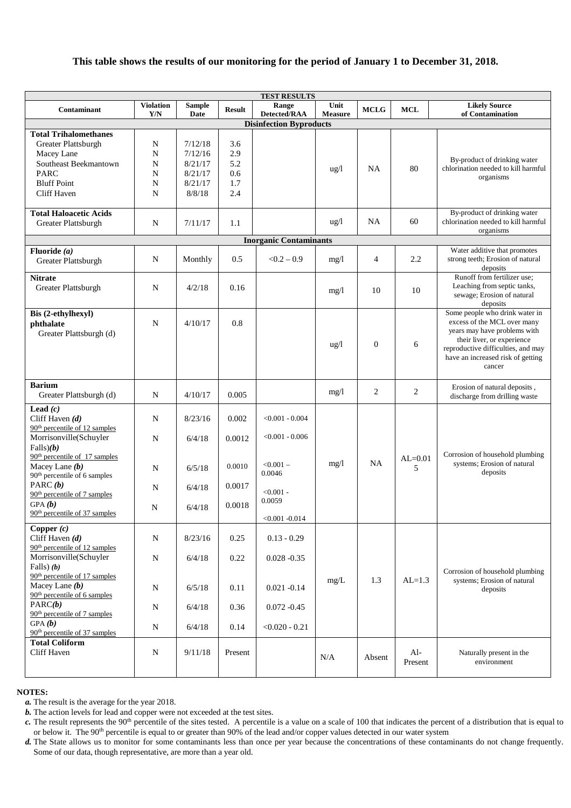# **This table shows the results of our monitoring for the period of January 1 to December 31, 2018.**

| <b>TEST RESULTS</b>                                                                                       |                         |                       |               |                                |                        |                |                  |                                                                                                                                                                                                                  |  |  |
|-----------------------------------------------------------------------------------------------------------|-------------------------|-----------------------|---------------|--------------------------------|------------------------|----------------|------------------|------------------------------------------------------------------------------------------------------------------------------------------------------------------------------------------------------------------|--|--|
| Contaminant                                                                                               | <b>Violation</b><br>Y/N | <b>Sample</b><br>Date | <b>Result</b> | Range<br>Detected/RAA          | Unit<br><b>Measure</b> | <b>MCLG</b>    | <b>MCL</b>       | <b>Likely Source</b><br>of Contamination                                                                                                                                                                         |  |  |
|                                                                                                           |                         |                       |               | <b>Disinfection Byproducts</b> |                        |                |                  |                                                                                                                                                                                                                  |  |  |
| <b>Total Trihalomethanes</b>                                                                              |                         |                       |               |                                |                        |                |                  |                                                                                                                                                                                                                  |  |  |
| Greater Plattsburgh                                                                                       | N                       | 7/12/18               | 3.6           |                                |                        |                |                  |                                                                                                                                                                                                                  |  |  |
| Macey Lane                                                                                                | N                       | 7/12/16               | 2.9           |                                |                        |                |                  |                                                                                                                                                                                                                  |  |  |
| Southeast Beekmantown                                                                                     | N                       | 8/21/17               | 5.2           |                                |                        |                |                  | By-product of drinking water                                                                                                                                                                                     |  |  |
| <b>PARC</b>                                                                                               | N                       | 8/21/17               | 0.6           |                                | $\frac{u g}{l}$        | NA             | 80               | chlorination needed to kill harmful                                                                                                                                                                              |  |  |
| <b>Bluff Point</b>                                                                                        | N                       | 8/21/17               | 1.7           |                                |                        |                |                  | organisms                                                                                                                                                                                                        |  |  |
| Cliff Haven                                                                                               | N                       | 8/8/18                | 2.4           |                                |                        |                |                  |                                                                                                                                                                                                                  |  |  |
|                                                                                                           |                         |                       |               |                                |                        |                |                  |                                                                                                                                                                                                                  |  |  |
| <b>Total Haloacetic Acids</b><br>Greater Plattsburgh                                                      | $\mathbf N$             | 7/11/17               | 1.1           |                                | $\frac{u g}{l}$        | NA             | 60               | By-product of drinking water<br>chlorination needed to kill harmful                                                                                                                                              |  |  |
|                                                                                                           |                         |                       |               |                                |                        |                |                  | organisms                                                                                                                                                                                                        |  |  |
|                                                                                                           |                         |                       |               | <b>Inorganic Contaminants</b>  |                        |                |                  | Water additive that promotes                                                                                                                                                                                     |  |  |
| Fluoride $(a)$<br>Greater Plattsburgh                                                                     | $\mathbf N$             | Monthly               | 0.5           | $< 0.2 - 0.9$                  | mg/1                   | 4              | 2.2              | strong teeth; Erosion of natural<br>deposits                                                                                                                                                                     |  |  |
| <b>Nitrate</b>                                                                                            |                         |                       |               |                                |                        |                |                  | Runoff from fertilizer use;                                                                                                                                                                                      |  |  |
| Greater Plattsburgh                                                                                       | N                       | 4/2/18                | 0.16          |                                | mg/1                   | 10             | 10               | Leaching from septic tanks,<br>sewage; Erosion of natural<br>deposits                                                                                                                                            |  |  |
| Bis (2-ethylhexyl)<br>phthalate<br>Greater Plattsburgh (d)                                                | N                       | 4/10/17               | 0.8           |                                | $\frac{u g}{l}$        | $\overline{0}$ | 6                | Some people who drink water in<br>excess of the MCL over many<br>years may have problems with<br>their liver, or experience<br>reproductive difficulties, and may<br>have an increased risk of getting<br>cancer |  |  |
| <b>Barium</b><br>Greater Plattsburgh (d)                                                                  | N                       | 4/10/17               | 0.005         |                                | mg/l                   | 2              | $\overline{c}$   | Erosion of natural deposits,<br>discharge from drilling waste                                                                                                                                                    |  |  |
| Lead $(c)$<br>Cliff Haven $(d)$<br>90 <sup>th</sup> percentile of 12 samples                              | $\mathbf N$             | 8/23/16               | 0.002         | $< 0.001 - 0.004$              |                        |                |                  |                                                                                                                                                                                                                  |  |  |
| Morrisonville(Schuyler<br>Falls(b)                                                                        | N                       | 6/4/18                | 0.0012        | $< 0.001 - 0.006$              |                        |                |                  |                                                                                                                                                                                                                  |  |  |
| 90 <sup>th</sup> percentile of 17 samples<br>Macey Lane $(b)$<br>90 <sup>th</sup> percentile of 6 samples | N                       | 6/5/18                | 0.0010        | $< 0.001 -$<br>0.0046          | mg/1                   | <b>NA</b>      | $AL=0.01$<br>5   | Corrosion of household plumbing<br>systems; Erosion of natural<br>deposits                                                                                                                                       |  |  |
| PARC $(b)$<br>90 <sup>th</sup> percentile of 7 samples                                                    | N                       | 6/4/18                | 0.0017        | $< 0.001 -$                    |                        |                |                  |                                                                                                                                                                                                                  |  |  |
| GPA(b)<br>90 <sup>th</sup> percentile of 37 samples                                                       | N                       | 6/4/18                | 0.0018        | 0.0059                         |                        |                |                  |                                                                                                                                                                                                                  |  |  |
|                                                                                                           |                         |                       |               | $< 0.001 - 0.014$              |                        |                |                  |                                                                                                                                                                                                                  |  |  |
| Copper $(c)$<br>Cliff Haven $(d)$<br>90 <sup>th</sup> percentile of 12 samples                            | ${\bf N}$               | 8/23/16               | 0.25          | $0.13 - 0.29$                  |                        |                |                  |                                                                                                                                                                                                                  |  |  |
| Morrisonville(Schuyler<br>Falls $(a)$                                                                     | $\mathbf N$             | 6/4/18                | 0.22          | $0.028 - 0.35$                 |                        |                |                  |                                                                                                                                                                                                                  |  |  |
| 90 <sup>th</sup> percentile of 17 samples<br>Macey Lane $(b)$<br>90 <sup>th</sup> percentile of 6 samples | $\mathbf N$             | 6/5/18                | 0.11          | $0.021 - 0.14$                 | mg/L                   | 1.3            | $AI = 1.3$       | Corrosion of household plumbing<br>systems; Erosion of natural<br>deposits                                                                                                                                       |  |  |
| PARC(b)<br>90 <sup>th</sup> percentile of 7 samples                                                       | $\mathbf N$             | 6/4/18                | 0.36          | $0.072 - 0.45$                 |                        |                |                  |                                                                                                                                                                                                                  |  |  |
| GPA(b)<br>$90th$ percentile of 37 samples                                                                 | $\mathbf N$             | 6/4/18                | 0.14          | $< 0.020 - 0.21$               |                        |                |                  |                                                                                                                                                                                                                  |  |  |
| <b>Total Coliform</b><br>Cliff Haven                                                                      | $\mathbf N$             | 9/11/18               | Present       |                                | N/A                    | Absent         | $Al-$<br>Present | Naturally present in the<br>environment                                                                                                                                                                          |  |  |
|                                                                                                           |                         |                       |               |                                |                        |                |                  |                                                                                                                                                                                                                  |  |  |

# **NOTES:**

*a.* The result is the average for the year 2018.

*b.* The action levels for lead and copper were not exceeded at the test sites.

*c*. The result represents the 90<sup>th</sup> percentile of the sites tested. A percentile is a value on a scale of 100 that indicates the percent of a distribution that is equal to or below it. The 90th percentile is equal to or greater than 90% of the lead and/or copper values detected in our water system

*d*. The State allows us to monitor for some contaminants less than once per year because the concentrations of these contaminants do not change frequently. Some of our data, though representative, are more than a year old.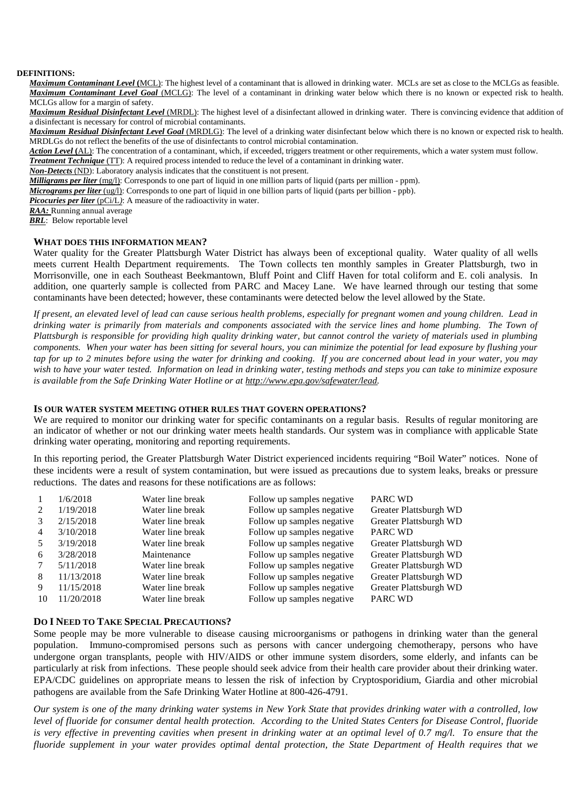#### **DEFINITIONS:**

*Maximum Contaminant Level* **(**MCL): The highest level of a contaminant that is allowed in drinking water. MCLs are set as close to the MCLGs as feasible. *Maximum Contaminant Level Goal* (MCLG): The level of a contaminant in drinking water below which there is no known or expected risk to health. MCLGs allow for a margin of safety.

*Maximum Residual Disinfectant Level* (MRDL): The highest level of a disinfectant allowed in drinking water. There is convincing evidence that addition of a disinfectant is necessary for control of microbial contaminants.

*Maximum Residual Disinfectant Level Goal* (MRDLG): The level of a drinking water disinfectant below which there is no known or expected risk to health. MRDLGs do not reflect the benefits of the use of disinfectants to control microbial contamination.

*Action Level* **(**AL): The concentration of a contaminant, which, if exceeded, triggers treatment or other requirements, which a water system must follow.

*Treatment Technique* (TT): A required process intended to reduce the level of a contaminant in drinking water.

*Non-Detects* (ND): Laboratory analysis indicates that the constituent is not present.

*Milligrams per liter* (mg/l): Corresponds to one part of liquid in one million parts of liquid (parts per million - ppm).

*Micrograms per liter* (ug/l): Corresponds to one part of liquid in one billion parts of liquid (parts per billion - ppb).

*Picocuries per liter* (pCi/L): A measure of the radioactivity in water.

*RAA:* Running annual average

*BRL*: Below reportable level

#### **WHAT DOES THIS INFORMATION MEAN?**

Water quality for the Greater Plattsburgh Water District has always been of exceptional quality. Water quality of all wells meets current Health Department requirements. The Town collects ten monthly samples in Greater Plattsburgh, two in Morrisonville, one in each Southeast Beekmantown, Bluff Point and Cliff Haven for total coliform and E. coli analysis. In addition, one quarterly sample is collected from PARC and Macey Lane. We have learned through our testing that some contaminants have been detected; however, these contaminants were detected below the level allowed by the State.

*If present, an elevated level of lead can cause serious health problems, especially for pregnant women and young children. Lead in drinking water is primarily from materials and components associated with the service lines and home plumbing. The Town of Plattsburgh is responsible for providing high quality drinking water, but cannot control the variety of materials used in plumbing components. When your water has been sitting for several hours, you can minimize the potential for lead exposure by flushing your tap for up to 2 minutes before using the water for drinking and cooking. If you are concerned about lead in your water, you may wish to have your water tested. Information on lead in drinking water, testing methods and steps you can take to minimize exposure is available from the Safe Drinking Water Hotline or at http://www.epa.gov/safewater/lead.*

### **IS OUR WATER SYSTEM MEETING OTHER RULES THAT GOVERN OPERATIONS?**

We are required to monitor our drinking water for specific contaminants on a regular basis. Results of regular monitoring are an indicator of whether or not our drinking water meets health standards. Our system was in compliance with applicable State drinking water operating, monitoring and reporting requirements.

In this reporting period, the Greater Plattsburgh Water District experienced incidents requiring "Boil Water" notices. None of these incidents were a result of system contamination, but were issued as precautions due to system leaks, breaks or pressure reductions. The dates and reasons for these notifications are as follows:

|                | 1/6/2018   | Water line break | Follow up samples negative | PARC WD                |
|----------------|------------|------------------|----------------------------|------------------------|
|                | 1/19/2018  | Water line break | Follow up samples negative | Greater Plattsburgh WD |
|                | 2/15/2018  | Water line break | Follow up samples negative | Greater Plattsburgh WD |
| $\overline{4}$ | 3/10/2018  | Water line break | Follow up samples negative | PARC WD                |
| .5             | 3/19/2018  | Water line break | Follow up samples negative | Greater Plattsburgh WD |
| 6              | 3/28/2018  | Maintenance      | Follow up samples negative | Greater Plattsburgh WD |
|                | 5/11/2018  | Water line break | Follow up samples negative | Greater Plattsburgh WD |
| 8              | 11/13/2018 | Water line break | Follow up samples negative | Greater Plattsburgh WD |
| 9              | 11/15/2018 | Water line break | Follow up samples negative | Greater Plattsburgh WD |
| 10             | 11/20/2018 | Water line break | Follow up samples negative | <b>PARC WD</b>         |

### **DO I NEED TO TAKE SPECIAL PRECAUTIONS?**

Some people may be more vulnerable to disease causing microorganisms or pathogens in drinking water than the general population. Immuno-compromised persons such as persons with cancer undergoing chemotherapy, persons who have undergone organ transplants, people with HIV/AIDS or other immune system disorders, some elderly, and infants can be particularly at risk from infections. These people should seek advice from their health care provider about their drinking water. EPA/CDC guidelines on appropriate means to lessen the risk of infection by Cryptosporidium, Giardia and other microbial pathogens are available from the Safe Drinking Water Hotline at 800-426-4791.

*Our system is one of the many drinking water systems in New York State that provides drinking water with a controlled, low level of fluoride for consumer dental health protection. According to the United States Centers for Disease Control, fluoride is very effective in preventing cavities when present in drinking water at an optimal level of 0.7 mg/l. To ensure that the fluoride supplement in your water provides optimal dental protection, the State Department of Health requires that we*